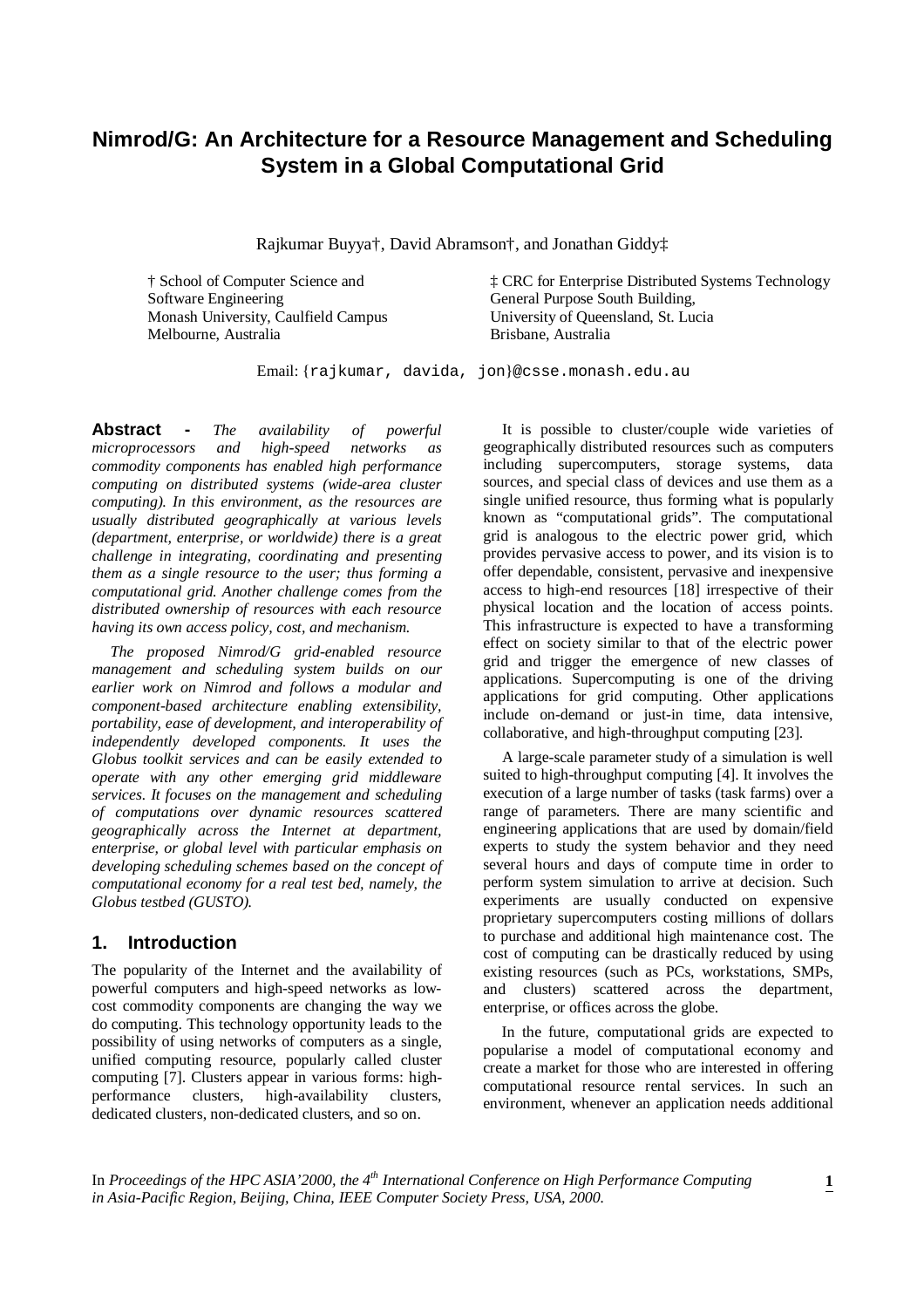# **Nimrod/G: An Architecture for a Resource Management and Scheduling System in a Global Computational Grid**

Rajkumar Buyya†, David Abramson†, and Jonathan Giddy‡

Software Engineering<br>
Monash University, Caulfield Campus<br>
University of Oueensland, St. Lucia Monash University, Caulfield Campus Melbourne, Australia and and a Brisbane, Australia

† School of Computer Science and ‡ CRC for Enterprise Distributed Systems Technology

Email: {rajkumar, davida, jon}@csse.monash.edu.au

**Abstract -** *The availability of powerful microprocessors and high-speed networks as commodity components has enabled high performance computing on distributed systems (wide-area cluster computing). In this environment, as the resources are usually distributed geographically at various levels (department, enterprise, or worldwide) there is a great challenge in integrating, coordinating and presenting them as a single resource to the user; thus forming a computational grid. Another challenge comes from the distributed ownership of resources with each resource having its own access policy, cost, and mechanism.*

*The proposed Nimrod/G grid-enabled resource management and scheduling system builds on our earlier work on Nimrod and follows a modular and component-based architecture enabling extensibility, portability, ease of development, and interoperability of independently developed components. It uses the Globus toolkit services and can be easily extended to operate with any other emerging grid middleware services. It focuses on the management and scheduling of computations over dynamic resources scattered geographically across the Internet at department, enterprise, or global level with particular emphasis on developing scheduling schemes based on the concept of computational economy for a real test bed, namely, the Globus testbed (GUSTO).*

### **1. Introduction**

The popularity of the Internet and the availability of powerful computers and high-speed networks as lowcost commodity components are changing the way we do computing. This technology opportunity leads to the possibility of using networks of computers as a single, unified computing resource, popularly called cluster computing [7]. Clusters appear in various forms: highperformance clusters, high-availability clusters, dedicated clusters, non-dedicated clusters, and so on.

It is possible to cluster/couple wide varieties of geographically distributed resources such as computers including supercomputers, storage systems, data sources, and special class of devices and use them as a single unified resource, thus forming what is popularly known as "computational grids". The computational grid is analogous to the electric power grid, which provides pervasive access to power, and its vision is to offer dependable, consistent, pervasive and inexpensive access to high-end resources [18] irrespective of their physical location and the location of access points. This infrastructure is expected to have a transforming effect on society similar to that of the electric power grid and trigger the emergence of new classes of applications. Supercomputing is one of the driving applications for grid computing. Other applications include on-demand or just-in time, data intensive, collaborative, and high-throughput computing [23].

A large-scale parameter study of a simulation is well suited to high-throughput computing [4]. It involves the execution of a large number of tasks (task farms) over a range of parameters. There are many scientific and engineering applications that are used by domain/field experts to study the system behavior and they need several hours and days of compute time in order to perform system simulation to arrive at decision. Such experiments are usually conducted on expensive proprietary supercomputers costing millions of dollars to purchase and additional high maintenance cost. The cost of computing can be drastically reduced by using existing resources (such as PCs, workstations, SMPs, and clusters) scattered across the department, enterprise, or offices across the globe.

In the future, computational grids are expected to popularise a model of computational economy and create a market for those who are interested in offering computational resource rental services. In such an environment, whenever an application needs additional

In *Proceedings of the HPC ASIA'2000, the 4th International Conference on High Performance Computing in Asia-Pacific Region, Beijing, China, IEEE Computer Society Press, USA, 2000.*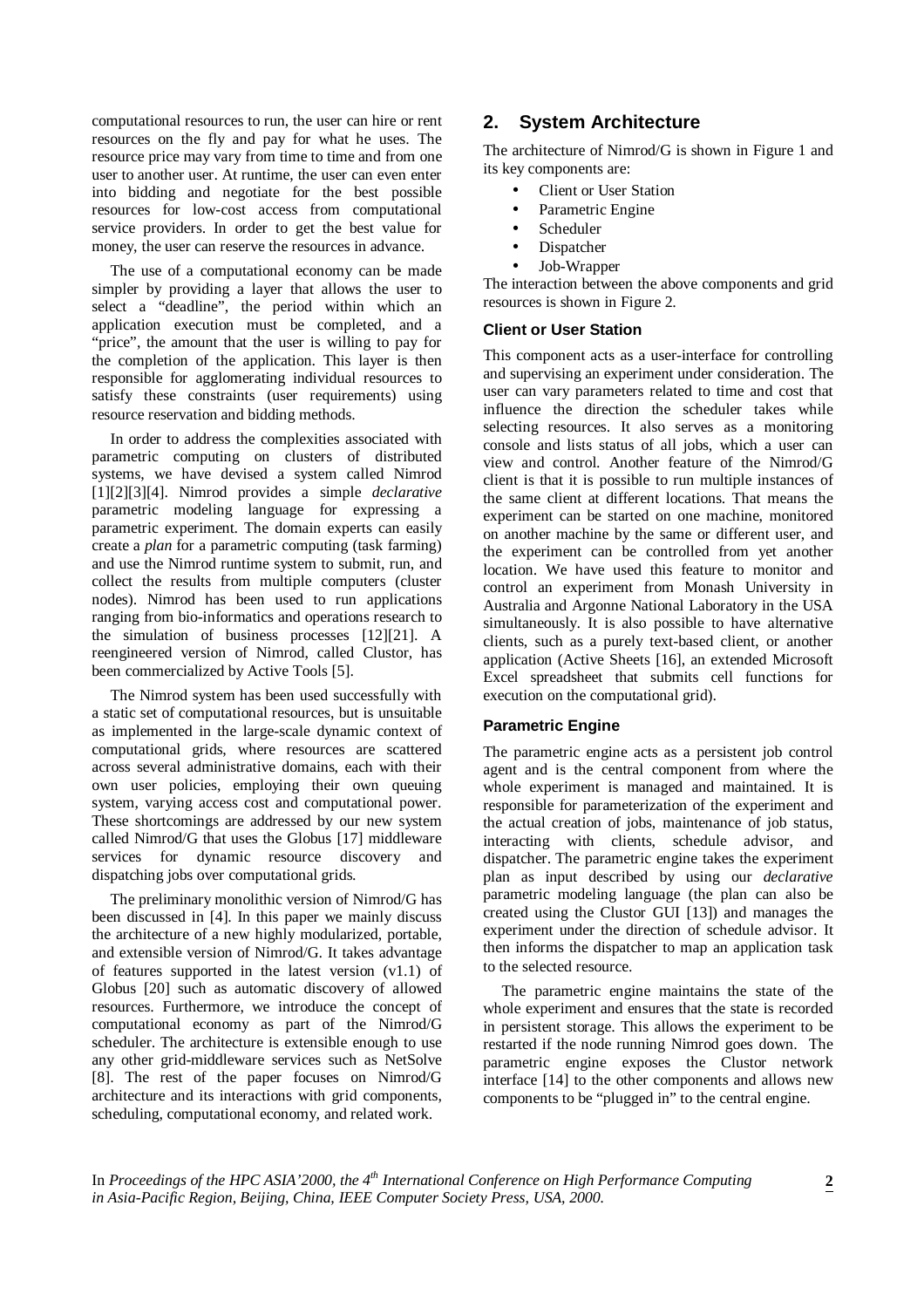computational resources to run, the user can hire or rent resources on the fly and pay for what he uses. The resource price may vary from time to time and from one user to another user. At runtime, the user can even enter into bidding and negotiate for the best possible resources for low-cost access from computational service providers. In order to get the best value for money, the user can reserve the resources in advance.

The use of a computational economy can be made simpler by providing a layer that allows the user to select a "deadline", the period within which an application execution must be completed, and a "price", the amount that the user is willing to pay for the completion of the application. This layer is then responsible for agglomerating individual resources to satisfy these constraints (user requirements) using resource reservation and bidding methods.

In order to address the complexities associated with parametric computing on clusters of distributed systems, we have devised a system called Nimrod [1][2][3][4]. Nimrod provides a simple *declarative* parametric modeling language for expressing a parametric experiment. The domain experts can easily create a *plan* for a parametric computing (task farming) and use the Nimrod runtime system to submit, run, and collect the results from multiple computers (cluster nodes). Nimrod has been used to run applications ranging from bio-informatics and operations research to the simulation of business processes [12][21]. A reengineered version of Nimrod, called Clustor, has been commercialized by Active Tools [5].

The Nimrod system has been used successfully with a static set of computational resources, but is unsuitable as implemented in the large-scale dynamic context of computational grids, where resources are scattered across several administrative domains, each with their own user policies, employing their own queuing system, varying access cost and computational power. These shortcomings are addressed by our new system called Nimrod/G that uses the Globus [17] middleware services for dynamic resource discovery and dispatching jobs over computational grids.

The preliminary monolithic version of Nimrod/G has been discussed in [4]. In this paper we mainly discuss the architecture of a new highly modularized, portable, and extensible version of Nimrod/G. It takes advantage of features supported in the latest version (v1.1) of Globus [20] such as automatic discovery of allowed resources. Furthermore, we introduce the concept of computational economy as part of the Nimrod/G scheduler. The architecture is extensible enough to use any other grid-middleware services such as NetSolve [8]. The rest of the paper focuses on Nimrod/G architecture and its interactions with grid components, scheduling, computational economy, and related work.

## **2. System Architecture**

The architecture of Nimrod/G is shown in Figure 1 and its key components are:

- Client or User Station
- Parametric Engine
- **Scheduler**
- Dispatcher
- Job-Wrapper

The interaction between the above components and grid resources is shown in Figure 2.

### **Client or User Station**

This component acts as a user-interface for controlling and supervising an experiment under consideration. The user can vary parameters related to time and cost that influence the direction the scheduler takes while selecting resources. It also serves as a monitoring console and lists status of all jobs, which a user can view and control. Another feature of the Nimrod/G client is that it is possible to run multiple instances of the same client at different locations. That means the experiment can be started on one machine, monitored on another machine by the same or different user, and the experiment can be controlled from yet another location. We have used this feature to monitor and control an experiment from Monash University in Australia and Argonne National Laboratory in the USA simultaneously. It is also possible to have alternative clients, such as a purely text-based client, or another application (Active Sheets [16], an extended Microsoft Excel spreadsheet that submits cell functions for execution on the computational grid).

### **Parametric Engine**

The parametric engine acts as a persistent job control agent and is the central component from where the whole experiment is managed and maintained. It is responsible for parameterization of the experiment and the actual creation of jobs, maintenance of job status, interacting with clients, schedule advisor, and dispatcher. The parametric engine takes the experiment plan as input described by using our *declarative* parametric modeling language (the plan can also be created using the Clustor GUI [13]) and manages the experiment under the direction of schedule advisor. It then informs the dispatcher to map an application task to the selected resource.

The parametric engine maintains the state of the whole experiment and ensures that the state is recorded in persistent storage. This allows the experiment to be restarted if the node running Nimrod goes down. The parametric engine exposes the Clustor network interface [14] to the other components and allows new components to be "plugged in" to the central engine.

In *Proceedings of the HPC ASIA'2000, the 4th International Conference on High Performance Computing in Asia-Pacific Region, Beijing, China, IEEE Computer Society Press, USA, 2000.*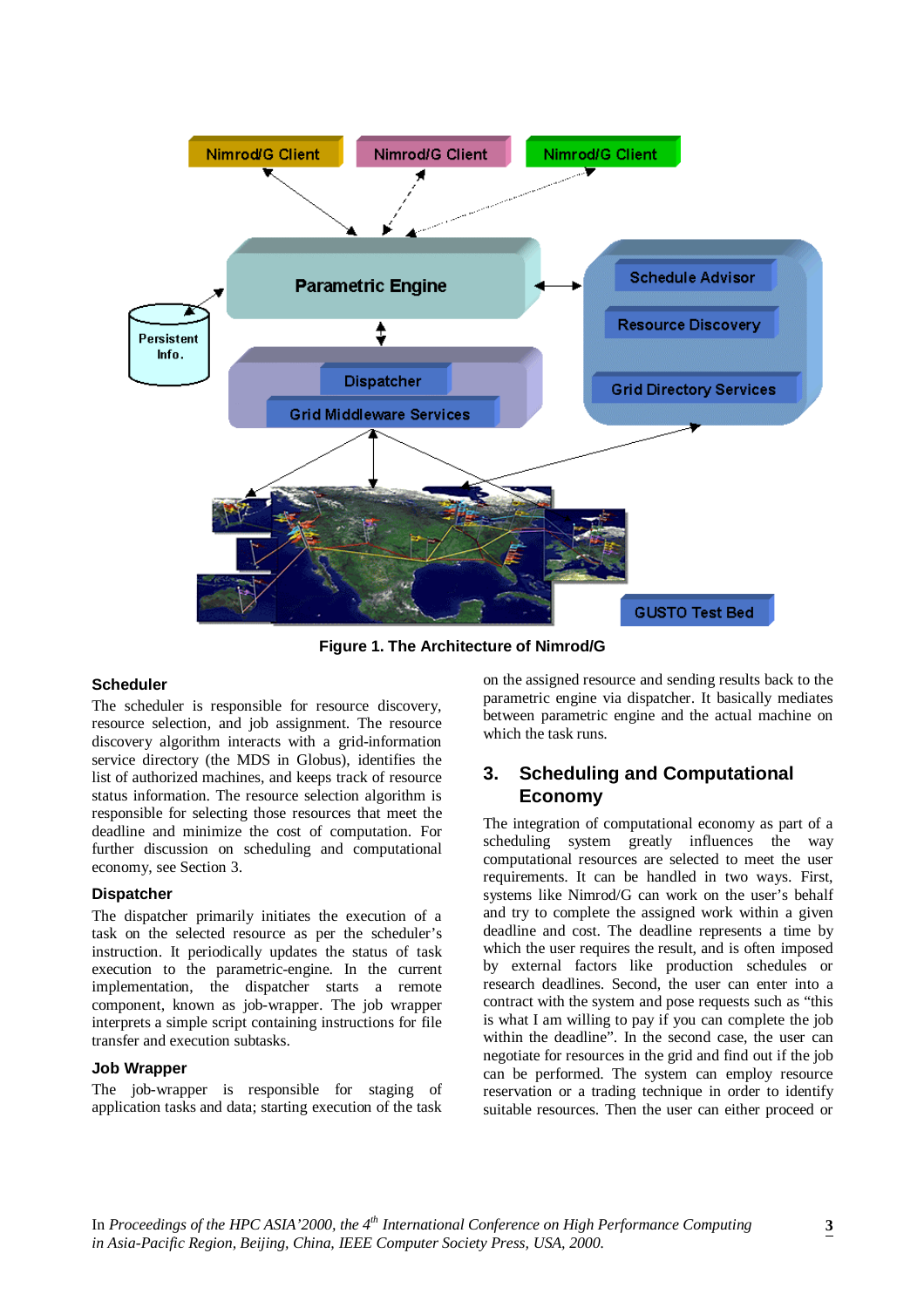

**Figure 1. The Architecture of Nimrod/G**

### **Scheduler**

The scheduler is responsible for resource discovery, resource selection, and job assignment. The resource discovery algorithm interacts with a grid-information service directory (the MDS in Globus), identifies the list of authorized machines, and keeps track of resource status information. The resource selection algorithm is responsible for selecting those resources that meet the deadline and minimize the cost of computation. For further discussion on scheduling and computational economy, see Section 3.

### **Dispatcher**

The dispatcher primarily initiates the execution of a task on the selected resource as per the scheduler's instruction. It periodically updates the status of task execution to the parametric-engine. In the current implementation, the dispatcher starts a remote component, known as job-wrapper. The job wrapper interprets a simple script containing instructions for file transfer and execution subtasks.

### **Job Wrapper**

The job-wrapper is responsible for staging of application tasks and data; starting execution of the task

on the assigned resource and sending results back to the parametric engine via dispatcher. It basically mediates between parametric engine and the actual machine on which the task runs.

## **3. Scheduling and Computational Economy**

The integration of computational economy as part of a scheduling system greatly influences the way computational resources are selected to meet the user requirements. It can be handled in two ways. First, systems like Nimrod/G can work on the user's behalf and try to complete the assigned work within a given deadline and cost. The deadline represents a time by which the user requires the result, and is often imposed by external factors like production schedules or research deadlines. Second, the user can enter into a contract with the system and pose requests such as "this is what I am willing to pay if you can complete the job within the deadline". In the second case, the user can negotiate for resources in the grid and find out if the job can be performed. The system can employ resource reservation or a trading technique in order to identify suitable resources. Then the user can either proceed or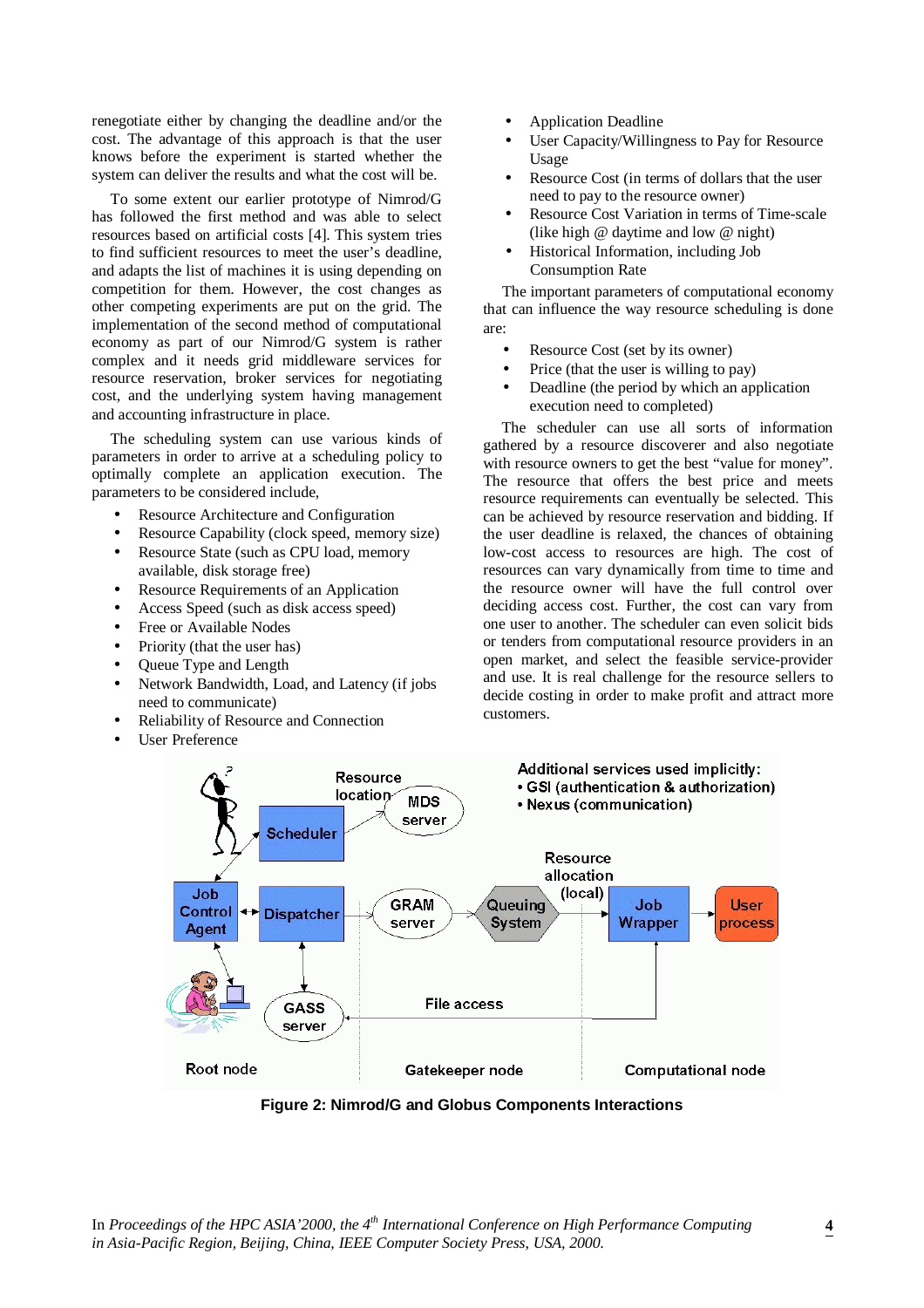renegotiate either by changing the deadline and/or the cost. The advantage of this approach is that the user knows before the experiment is started whether the system can deliver the results and what the cost will be.

To some extent our earlier prototype of Nimrod/G has followed the first method and was able to select resources based on artificial costs [4]. This system tries to find sufficient resources to meet the user's deadline, and adapts the list of machines it is using depending on competition for them. However, the cost changes as other competing experiments are put on the grid. The implementation of the second method of computational economy as part of our Nimrod/G system is rather complex and it needs grid middleware services for resource reservation, broker services for negotiating cost, and the underlying system having management and accounting infrastructure in place.

The scheduling system can use various kinds of parameters in order to arrive at a scheduling policy to optimally complete an application execution. The parameters to be considered include,

- Resource Architecture and Configuration
- Resource Capability (clock speed, memory size)
- Resource State (such as CPU load, memory available, disk storage free)
- Resource Requirements of an Application
- Access Speed (such as disk access speed)
- Free or Available Nodes
- Priority (that the user has)
- Queue Type and Length
- Network Bandwidth, Load, and Latency (if jobs need to communicate)
- Reliability of Resource and Connection
- User Preference
- Application Deadline
- User Capacity/Willingness to Pay for Resource Usage
- Resource Cost (in terms of dollars that the user need to pay to the resource owner)
- Resource Cost Variation in terms of Time-scale (like high @ daytime and low @ night)
- Historical Information, including Job Consumption Rate

The important parameters of computational economy that can influence the way resource scheduling is done are:

- Resource Cost (set by its owner)
- Price (that the user is willing to pay)
- Deadline (the period by which an application execution need to completed)

The scheduler can use all sorts of information gathered by a resource discoverer and also negotiate with resource owners to get the best "value for money". The resource that offers the best price and meets resource requirements can eventually be selected. This can be achieved by resource reservation and bidding. If the user deadline is relaxed, the chances of obtaining low-cost access to resources are high. The cost of resources can vary dynamically from time to time and the resource owner will have the full control over deciding access cost. Further, the cost can vary from one user to another. The scheduler can even solicit bids or tenders from computational resource providers in an open market, and select the feasible service-provider and use. It is real challenge for the resource sellers to decide costing in order to make profit and attract more customers.



**Figure 2: Nimrod/G and Globus Components Interactions**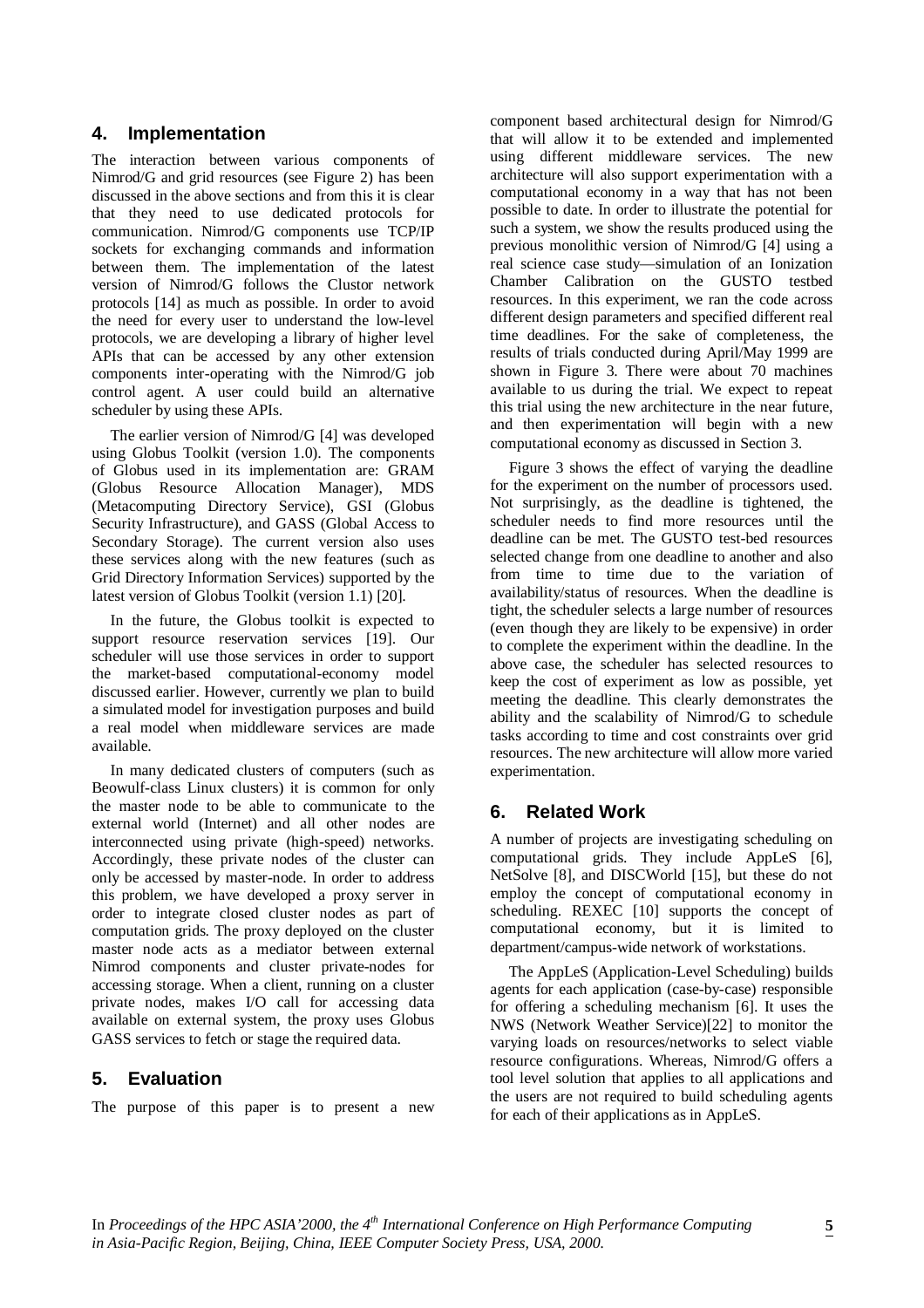## **4. Implementation**

The interaction between various components of Nimrod/G and grid resources (see Figure 2) has been discussed in the above sections and from this it is clear that they need to use dedicated protocols for communication. Nimrod/G components use TCP/IP sockets for exchanging commands and information between them. The implementation of the latest version of Nimrod/G follows the Clustor network protocols [14] as much as possible. In order to avoid the need for every user to understand the low-level protocols, we are developing a library of higher level APIs that can be accessed by any other extension components inter-operating with the Nimrod/G job control agent. A user could build an alternative scheduler by using these APIs.

The earlier version of Nimrod/G [4] was developed using Globus Toolkit (version 1.0). The components of Globus used in its implementation are: GRAM (Globus Resource Allocation Manager), MDS (Metacomputing Directory Service), GSI (Globus Security Infrastructure), and GASS (Global Access to Secondary Storage). The current version also uses these services along with the new features (such as Grid Directory Information Services) supported by the latest version of Globus Toolkit (version 1.1) [20].

In the future, the Globus toolkit is expected to support resource reservation services [19]. Our scheduler will use those services in order to support the market-based computational-economy model discussed earlier. However, currently we plan to build a simulated model for investigation purposes and build a real model when middleware services are made available.

In many dedicated clusters of computers (such as Beowulf-class Linux clusters) it is common for only the master node to be able to communicate to the external world (Internet) and all other nodes are interconnected using private (high-speed) networks. Accordingly, these private nodes of the cluster can only be accessed by master-node. In order to address this problem, we have developed a proxy server in order to integrate closed cluster nodes as part of computation grids. The proxy deployed on the cluster master node acts as a mediator between external Nimrod components and cluster private-nodes for accessing storage. When a client, running on a cluster private nodes, makes I/O call for accessing data available on external system, the proxy uses Globus GASS services to fetch or stage the required data.

## **5. Evaluation**

The purpose of this paper is to present a new

component based architectural design for Nimrod/G that will allow it to be extended and implemented using different middleware services. The new architecture will also support experimentation with a computational economy in a way that has not been possible to date. In order to illustrate the potential for such a system, we show the results produced using the previous monolithic version of Nimrod/G [4] using a real science case study—simulation of an Ionization Chamber Calibration on the GUSTO testbed resources. In this experiment, we ran the code across different design parameters and specified different real time deadlines. For the sake of completeness, the results of trials conducted during April/May 1999 are shown in Figure 3. There were about 70 machines available to us during the trial. We expect to repeat this trial using the new architecture in the near future, and then experimentation will begin with a new computational economy as discussed in Section 3.

Figure 3 shows the effect of varying the deadline for the experiment on the number of processors used. Not surprisingly, as the deadline is tightened, the scheduler needs to find more resources until the deadline can be met. The GUSTO test-bed resources selected change from one deadline to another and also from time to time due to the variation of availability/status of resources. When the deadline is tight, the scheduler selects a large number of resources (even though they are likely to be expensive) in order to complete the experiment within the deadline. In the above case, the scheduler has selected resources to keep the cost of experiment as low as possible, yet meeting the deadline. This clearly demonstrates the ability and the scalability of Nimrod/G to schedule tasks according to time and cost constraints over grid resources. The new architecture will allow more varied experimentation.

## **6. Related Work**

A number of projects are investigating scheduling on computational grids. They include AppLeS [6], NetSolve [8], and DISCWorld [15], but these do not employ the concept of computational economy in scheduling. REXEC [10] supports the concept of computational economy, but it is limited to department/campus-wide network of workstations.

The AppLeS (Application-Level Scheduling) builds agents for each application (case-by-case) responsible for offering a scheduling mechanism [6]. It uses the NWS (Network Weather Service)[22] to monitor the varying loads on resources/networks to select viable resource configurations. Whereas, Nimrod/G offers a tool level solution that applies to all applications and the users are not required to build scheduling agents for each of their applications as in AppLeS.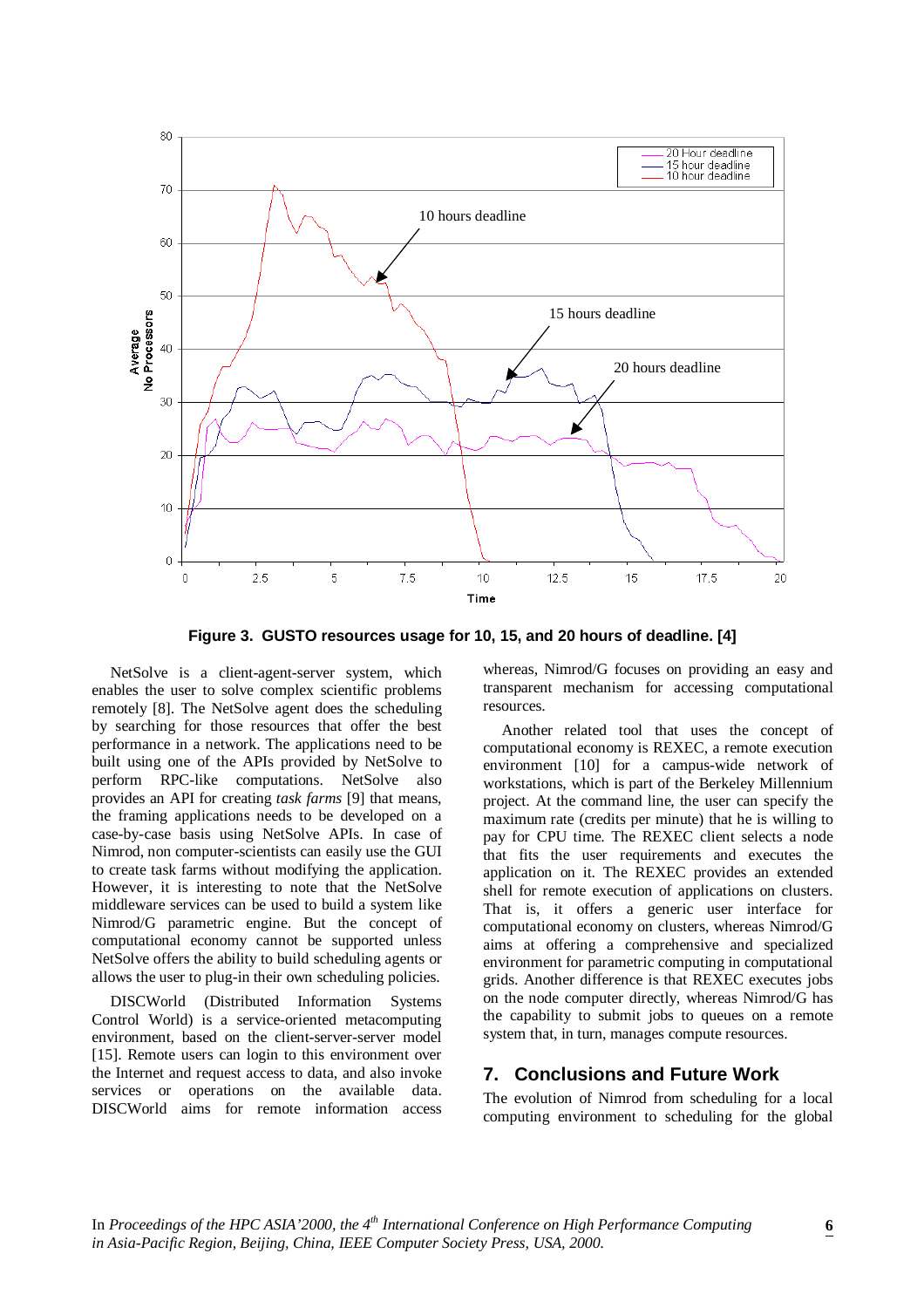

**Figure 3. GUSTO resources usage for 10, 15, and 20 hours of deadline. [4]**

NetSolve is a client-agent-server system, which enables the user to solve complex scientific problems remotely [8]. The NetSolve agent does the scheduling by searching for those resources that offer the best performance in a network. The applications need to be built using one of the APIs provided by NetSolve to perform RPC-like computations. NetSolve also provides an API for creating *task farms* [9] that means, the framing applications needs to be developed on a case-by-case basis using NetSolve APIs. In case of Nimrod, non computer-scientists can easily use the GUI to create task farms without modifying the application. However, it is interesting to note that the NetSolve middleware services can be used to build a system like Nimrod/G parametric engine. But the concept of computational economy cannot be supported unless NetSolve offers the ability to build scheduling agents or allows the user to plug-in their own scheduling policies.

DISCWorld (Distributed Information Systems Control World) is a service-oriented metacomputing environment, based on the client-server-server model [15]. Remote users can login to this environment over the Internet and request access to data, and also invoke services or operations on the available data. DISCWorld aims for remote information access

whereas, Nimrod/G focuses on providing an easy and transparent mechanism for accessing computational resources.

Another related tool that uses the concept of computational economy is REXEC, a remote execution environment [10] for a campus-wide network of workstations, which is part of the Berkeley Millennium project. At the command line, the user can specify the maximum rate (credits per minute) that he is willing to pay for CPU time. The REXEC client selects a node that fits the user requirements and executes the application on it. The REXEC provides an extended shell for remote execution of applications on clusters. That is, it offers a generic user interface for computational economy on clusters, whereas Nimrod/G aims at offering a comprehensive and specialized environment for parametric computing in computational grids. Another difference is that REXEC executes jobs on the node computer directly, whereas Nimrod/G has the capability to submit jobs to queues on a remote system that, in turn, manages compute resources.

## **7. Conclusions and Future Work**

The evolution of Nimrod from scheduling for a local computing environment to scheduling for the global